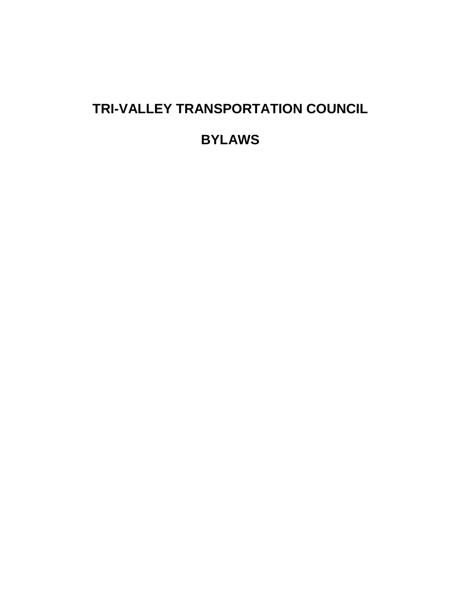# **TRI-VALLEY TRANSPORTATION COUNCIL**

**BYLAWS**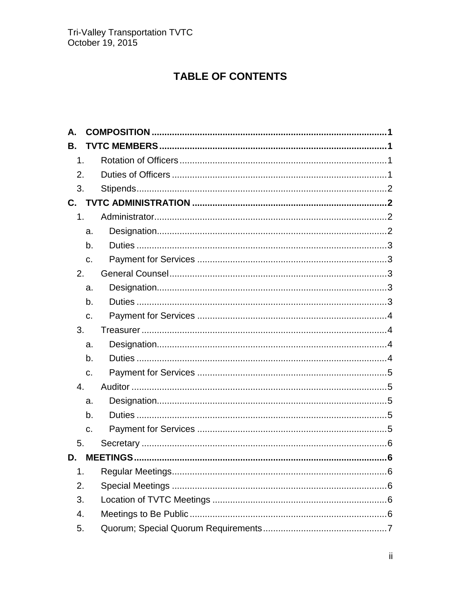# TABLE OF CONTENTS

| Α.           |    |  |
|--------------|----|--|
| В.           |    |  |
| 1.           |    |  |
| 2.           |    |  |
| 3.           |    |  |
| $\mathbf{C}$ |    |  |
| 1.           |    |  |
|              | a. |  |
|              | b. |  |
|              | C. |  |
| 2.           |    |  |
|              | a. |  |
|              | b. |  |
|              | C. |  |
| 3.           |    |  |
|              | a. |  |
|              | b. |  |
|              | C. |  |
| 4.           |    |  |
|              | a. |  |
|              | b. |  |
|              | c. |  |
| 5.           |    |  |
| D.           |    |  |
| 1.           |    |  |
| 2.           |    |  |
| 3.           |    |  |
| 4.           |    |  |
| 5.           |    |  |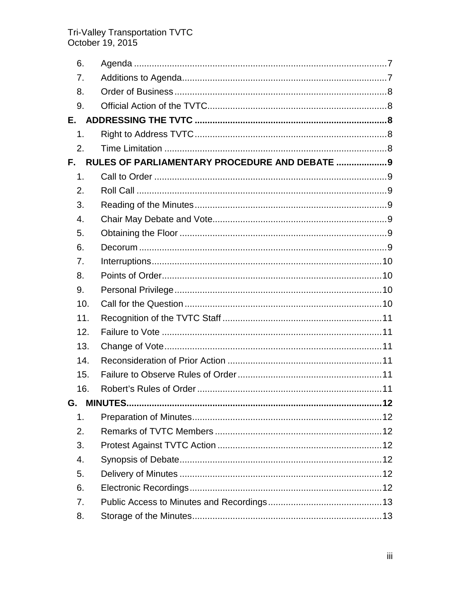# Tri-Valley Transportation TVTC<br>October 19, 2015

| 6.               |                                                |  |
|------------------|------------------------------------------------|--|
| 7.               |                                                |  |
| 8.               |                                                |  |
| 9.               |                                                |  |
| E.,              |                                                |  |
| 1.               |                                                |  |
| 2.               |                                                |  |
| F.               | RULES OF PARLIAMENTARY PROCEDURE AND DEBATE  9 |  |
| 1.               |                                                |  |
| 2.               |                                                |  |
| 3.               |                                                |  |
| 4.               |                                                |  |
| 5.               |                                                |  |
| 6.               |                                                |  |
| 7.               |                                                |  |
| 8.               |                                                |  |
| 9.               |                                                |  |
| 10.              |                                                |  |
| 11.              |                                                |  |
| 12.              |                                                |  |
| 13.              |                                                |  |
| 14.              |                                                |  |
| 15.              |                                                |  |
| 16.              |                                                |  |
| G.               |                                                |  |
| 1.               |                                                |  |
| 2.               |                                                |  |
| 3.               |                                                |  |
| $\overline{4}$ . |                                                |  |
| 5.               |                                                |  |
| 6.               |                                                |  |
| 7.               |                                                |  |
| 8.               |                                                |  |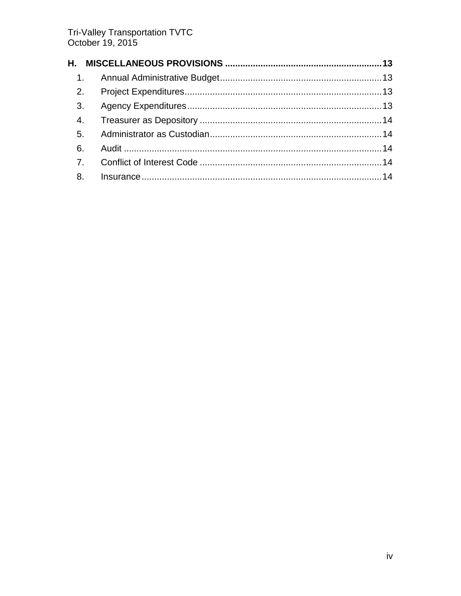| 3 <sub>1</sub> |    |  |
|----------------|----|--|
|                |    |  |
|                |    |  |
|                |    |  |
|                |    |  |
|                | 8. |  |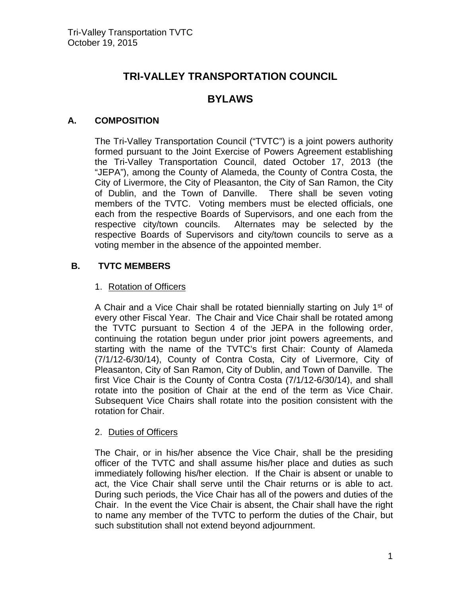# **TRI-VALLEY TRANSPORTATION COUNCIL**

# **BYLAWS**

# <span id="page-4-0"></span>**A. COMPOSITION**

The Tri-Valley Transportation Council ("TVTC") is a joint powers authority formed pursuant to the Joint Exercise of Powers Agreement establishing the Tri-Valley Transportation Council, dated October 17, 2013 (the "JEPA"), among the County of Alameda, the County of Contra Costa, the City of Livermore, the City of Pleasanton, the City of San Ramon, the City of Dublin, and the Town of Danville. There shall be seven voting members of the TVTC. Voting members must be elected officials, one each from the respective Boards of Supervisors, and one each from the respective city/town councils. Alternates may be selected by the respective Boards of Supervisors and city/town councils to serve as a voting member in the absence of the appointed member.

# <span id="page-4-2"></span><span id="page-4-1"></span>**B. TVTC MEMBERS**

# 1. Rotation of Officers

A Chair and a Vice Chair shall be rotated biennially starting on July 1<sup>st</sup> of every other Fiscal Year. The Chair and Vice Chair shall be rotated among the TVTC pursuant to Section 4 of the JEPA in the following order, continuing the rotation begun under prior joint powers agreements, and starting with the name of the TVTC's first Chair: County of Alameda (7/1/12-6/30/14), County of Contra Costa, City of Livermore, City of Pleasanton, City of San Ramon, City of Dublin, and Town of Danville. The first Vice Chair is the County of Contra Costa (7/1/12-6/30/14), and shall rotate into the position of Chair at the end of the term as Vice Chair. Subsequent Vice Chairs shall rotate into the position consistent with the rotation for Chair.

# <span id="page-4-3"></span>2. Duties of Officers

The Chair, or in his/her absence the Vice Chair, shall be the presiding officer of the TVTC and shall assume his/her place and duties as such immediately following his/her election. If the Chair is absent or unable to act, the Vice Chair shall serve until the Chair returns or is able to act. During such periods, the Vice Chair has all of the powers and duties of the Chair. In the event the Vice Chair is absent, the Chair shall have the right to name any member of the TVTC to perform the duties of the Chair, but such substitution shall not extend beyond adjournment.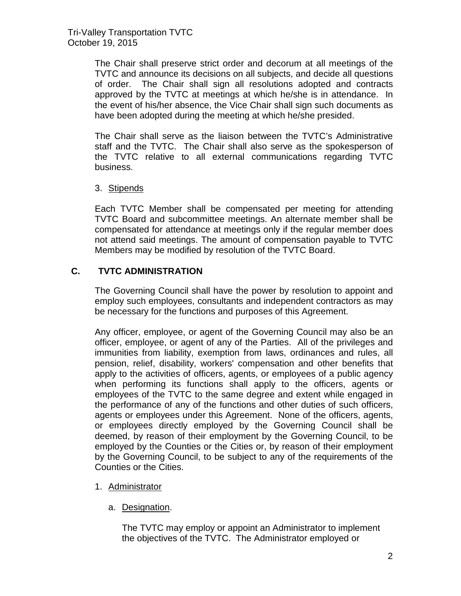The Chair shall preserve strict order and decorum at all meetings of the TVTC and announce its decisions on all subjects, and decide all questions of order. The Chair shall sign all resolutions adopted and contracts approved by the TVTC at meetings at which he/she is in attendance. In the event of his/her absence, the Vice Chair shall sign such documents as have been adopted during the meeting at which he/she presided.

The Chair shall serve as the liaison between the TVTC's Administrative staff and the TVTC. The Chair shall also serve as the spokesperson of the TVTC relative to all external communications regarding TVTC business.

# <span id="page-5-0"></span>3. Stipends

Each TVTC Member shall be compensated per meeting for attending TVTC Board and subcommittee meetings. An alternate member shall be compensated for attendance at meetings only if the regular member does not attend said meetings. The amount of compensation payable to TVTC Members may be modified by resolution of the TVTC Board.

# <span id="page-5-1"></span>**C. TVTC ADMINISTRATION**

The Governing Council shall have the power by resolution to appoint and employ such employees, consultants and independent contractors as may be necessary for the functions and purposes of this Agreement.

Any officer, employee, or agent of the Governing Council may also be an officer, employee, or agent of any of the Parties. All of the privileges and immunities from liability, exemption from laws, ordinances and rules, all pension, relief, disability, workers' compensation and other benefits that apply to the activities of officers, agents, or employees of a public agency when performing its functions shall apply to the officers, agents or employees of the TVTC to the same degree and extent while engaged in the performance of any of the functions and other duties of such officers, agents or employees under this Agreement. None of the officers, agents, or employees directly employed by the Governing Council shall be deemed, by reason of their employment by the Governing Council, to be employed by the Counties or the Cities or, by reason of their employment by the Governing Council, to be subject to any of the requirements of the Counties or the Cities.

# <span id="page-5-3"></span><span id="page-5-2"></span>1. Administrator

a. Designation.

The TVTC may employ or appoint an Administrator to implement the objectives of the TVTC. The Administrator employed or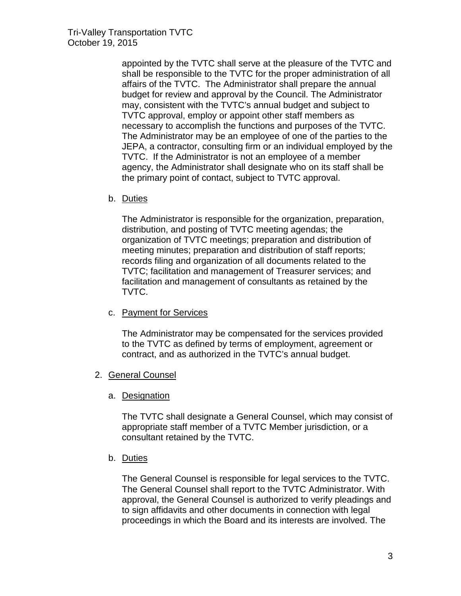appointed by the TVTC shall serve at the pleasure of the TVTC and shall be responsible to the TVTC for the proper administration of all affairs of the TVTC. The Administrator shall prepare the annual budget for review and approval by the Council. The Administrator may, consistent with the TVTC's annual budget and subject to TVTC approval, employ or appoint other staff members as necessary to accomplish the functions and purposes of the TVTC. The Administrator may be an employee of one of the parties to the JEPA, a contractor, consulting firm or an individual employed by the TVTC. If the Administrator is not an employee of a member agency, the Administrator shall designate who on its staff shall be the primary point of contact, subject to TVTC approval.

<span id="page-6-0"></span>b. Duties

The Administrator is responsible for the organization, preparation, distribution, and posting of TVTC meeting agendas; the organization of TVTC meetings; preparation and distribution of meeting minutes; preparation and distribution of staff reports; records filing and organization of all documents related to the TVTC; facilitation and management of Treasurer services; and facilitation and management of consultants as retained by the TVTC.

<span id="page-6-1"></span>c. Payment for Services

The Administrator may be compensated for the services provided to the TVTC as defined by terms of employment, agreement or contract, and as authorized in the TVTC's annual budget.

- <span id="page-6-3"></span><span id="page-6-2"></span>2. General Counsel
	- a. Designation

The TVTC shall designate a General Counsel, which may consist of appropriate staff member of a TVTC Member jurisdiction, or a consultant retained by the TVTC.

<span id="page-6-4"></span>b. Duties

The General Counsel is responsible for legal services to the TVTC. The General Counsel shall report to the TVTC Administrator. With approval, the General Counsel is authorized to verify pleadings and to sign affidavits and other documents in connection with legal proceedings in which the Board and its interests are involved. The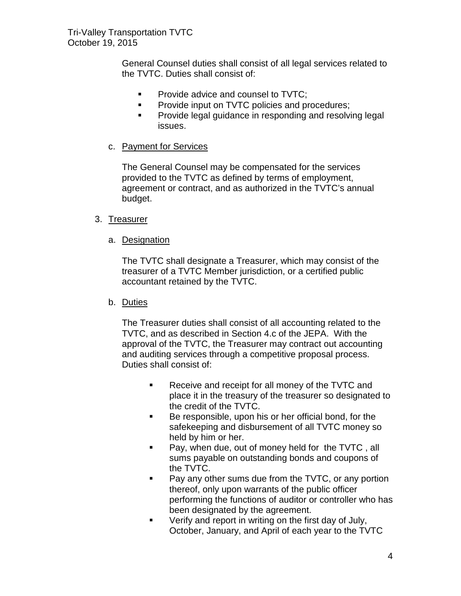General Counsel duties shall consist of all legal services related to the TVTC. Duties shall consist of:

- **Provide advice and counsel to TVTC;**
- **Provide input on TVTC policies and procedures;**
- **Provide legal guidance in responding and resolving legal** issues.
- <span id="page-7-0"></span>c. Payment for Services

The General Counsel may be compensated for the services provided to the TVTC as defined by terms of employment, agreement or contract, and as authorized in the TVTC's annual budget.

# <span id="page-7-2"></span><span id="page-7-1"></span>3. Treasurer

a. Designation

The TVTC shall designate a Treasurer, which may consist of the treasurer of a TVTC Member jurisdiction, or a certified public accountant retained by the TVTC.

<span id="page-7-3"></span>b. Duties

The Treasurer duties shall consist of all accounting related to the TVTC, and as described in Section 4.c of the JEPA. With the approval of the TVTC, the Treasurer may contract out accounting and auditing services through a competitive proposal process. Duties shall consist of:

- Receive and receipt for all money of the TVTC and place it in the treasury of the treasurer so designated to the credit of the TVTC.
- Be responsible, upon his or her official bond, for the safekeeping and disbursement of all TVTC money so held by him or her.
- **Pay, when due, out of money held for the TVTC, all** sums payable on outstanding bonds and coupons of the TVTC.
- **Pay any other sums due from the TVTC, or any portion** thereof, only upon warrants of the public officer performing the functions of auditor or controller who has been designated by the agreement.
- **•** Verify and report in writing on the first day of July, October, January, and April of each year to the TVTC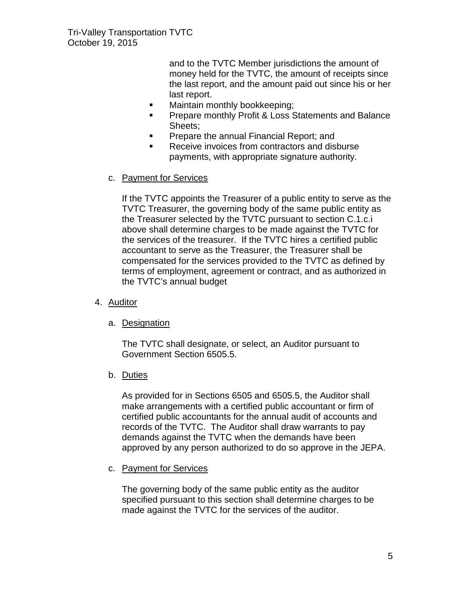and to the TVTC Member jurisdictions the amount of money held for the TVTC, the amount of receipts since the last report, and the amount paid out since his or her last report.

- **Maintain monthly bookkeeping;**
- Prepare monthly Profit & Loss Statements and Balance Sheets;
- **Prepare the annual Financial Report; and**
- Receive invoices from contractors and disburse payments, with appropriate signature authority.

# <span id="page-8-0"></span>c. Payment for Services

If the TVTC appoints the Treasurer of a public entity to serve as the TVTC Treasurer, the governing body of the same public entity as the Treasurer selected by the TVTC pursuant to section C.1.c.i above shall determine charges to be made against the TVTC for the services of the treasurer. If the TVTC hires a certified public accountant to serve as the Treasurer, the Treasurer shall be compensated for the services provided to the TVTC as defined by terms of employment, agreement or contract, and as authorized in the TVTC's annual budget

- <span id="page-8-2"></span><span id="page-8-1"></span>4. Auditor
	- a. Designation

The TVTC shall designate, or select, an Auditor pursuant to Government Section 6505.5.

<span id="page-8-3"></span>b. Duties

As provided for in Sections 6505 and 6505.5, the Auditor shall make arrangements with a certified public accountant or firm of certified public accountants for the annual audit of accounts and records of the TVTC. The Auditor shall draw warrants to pay demands against the TVTC when the demands have been approved by any person authorized to do so approve in the JEPA.

<span id="page-8-4"></span>c. Payment for Services

The governing body of the same public entity as the auditor specified pursuant to this section shall determine charges to be made against the TVTC for the services of the auditor.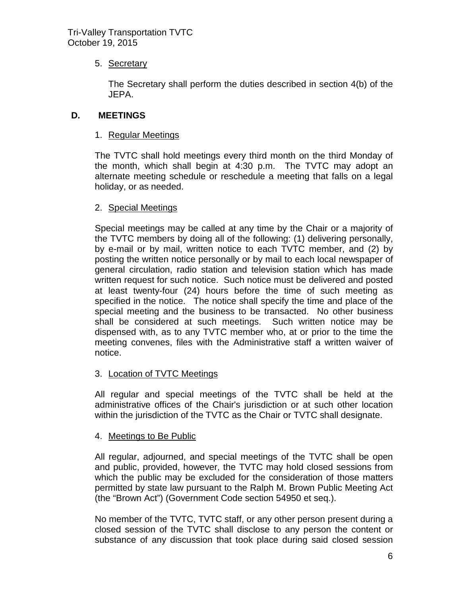# <span id="page-9-0"></span>5. Secretary

The Secretary shall perform the duties described in section 4(b) of the JEPA.

# <span id="page-9-2"></span><span id="page-9-1"></span>**D. MEETINGS**

# 1. Regular Meetings

The TVTC shall hold meetings every third month on the third Monday of the month, which shall begin at 4:30 p.m. The TVTC may adopt an alternate meeting schedule or reschedule a meeting that falls on a legal holiday, or as needed.

# <span id="page-9-3"></span>2. Special Meetings

Special meetings may be called at any time by the Chair or a majority of the TVTC members by doing all of the following: (1) delivering personally, by e-mail or by mail, written notice to each TVTC member, and (2) by posting the written notice personally or by mail to each local newspaper of general circulation, radio station and television station which has made written request for such notice. Such notice must be delivered and posted at least twenty-four (24) hours before the time of such meeting as specified in the notice. The notice shall specify the time and place of the special meeting and the business to be transacted. No other business shall be considered at such meetings. Such written notice may be dispensed with, as to any TVTC member who, at or prior to the time the meeting convenes, files with the Administrative staff a written waiver of notice.

# <span id="page-9-4"></span>3. Location of TVTC Meetings

All regular and special meetings of the TVTC shall be held at the administrative offices of the Chair's jurisdiction or at such other location within the jurisdiction of the TVTC as the Chair or TVTC shall designate.

# <span id="page-9-5"></span>4. Meetings to Be Public

All regular, adjourned, and special meetings of the TVTC shall be open and public, provided, however, the TVTC may hold closed sessions from which the public may be excluded for the consideration of those matters permitted by state law pursuant to the Ralph M. Brown Public Meeting Act (the "Brown Act") (Government Code section 54950 et seq.).

No member of the TVTC, TVTC staff, or any other person present during a closed session of the TVTC shall disclose to any person the content or substance of any discussion that took place during said closed session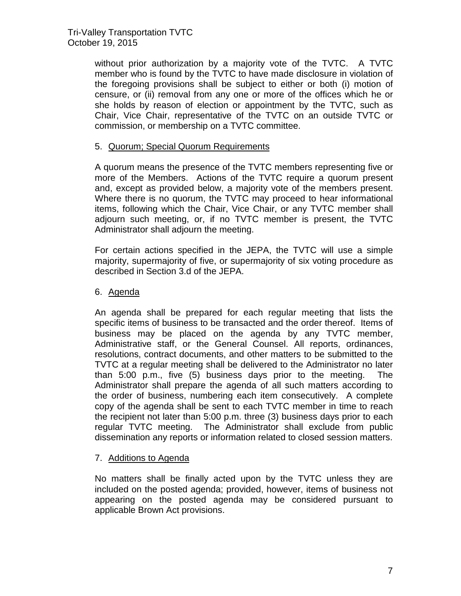without prior authorization by a majority vote of the TVTC. A TVTC member who is found by the TVTC to have made disclosure in violation of the foregoing provisions shall be subject to either or both (i) motion of censure, or (ii) removal from any one or more of the offices which he or she holds by reason of election or appointment by the TVTC, such as Chair, Vice Chair, representative of the TVTC on an outside TVTC or commission, or membership on a TVTC committee.

# <span id="page-10-0"></span>5. Quorum; Special Quorum Requirements

A quorum means the presence of the TVTC members representing five or more of the Members. Actions of the TVTC require a quorum present and, except as provided below, a majority vote of the members present. Where there is no quorum, the TVTC may proceed to hear informational items, following which the Chair, Vice Chair, or any TVTC member shall adjourn such meeting, or, if no TVTC member is present, the TVTC Administrator shall adjourn the meeting.

For certain actions specified in the JEPA, the TVTC will use a simple majority, supermajority of five, or supermajority of six voting procedure as described in Section 3.d of the JEPA.

# <span id="page-10-1"></span>6. Agenda

An agenda shall be prepared for each regular meeting that lists the specific items of business to be transacted and the order thereof. Items of business may be placed on the agenda by any TVTC member, Administrative staff, or the General Counsel. All reports, ordinances, resolutions, contract documents, and other matters to be submitted to the TVTC at a regular meeting shall be delivered to the Administrator no later than 5:00 p.m., five (5) business days prior to the meeting. The Administrator shall prepare the agenda of all such matters according to the order of business, numbering each item consecutively. A complete copy of the agenda shall be sent to each TVTC member in time to reach the recipient not later than 5:00 p.m. three (3) business days prior to each regular TVTC meeting. The Administrator shall exclude from public dissemination any reports or information related to closed session matters.

# <span id="page-10-2"></span>7. Additions to Agenda

No matters shall be finally acted upon by the TVTC unless they are included on the posted agenda; provided, however, items of business not appearing on the posted agenda may be considered pursuant to applicable Brown Act provisions.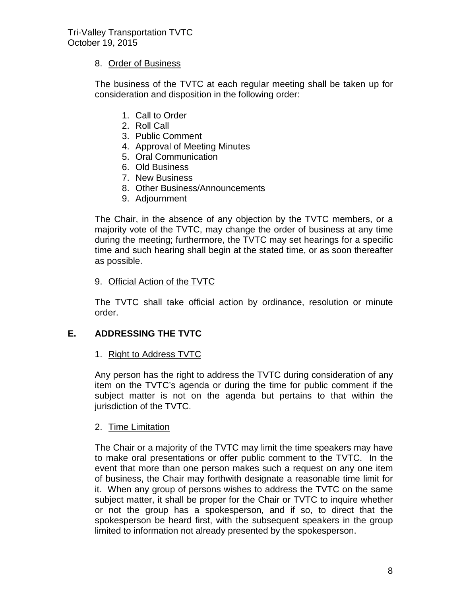# <span id="page-11-0"></span>8. Order of Business

The business of the TVTC at each regular meeting shall be taken up for consideration and disposition in the following order:

- 1. Call to Order
- 2. Roll Call
- 3. Public Comment
- 4. Approval of Meeting Minutes
- 5. Oral Communication
- 6. Old Business
- 7. New Business
- 8. Other Business/Announcements
- 9. Adjournment

The Chair, in the absence of any objection by the TVTC members, or a majority vote of the TVTC, may change the order of business at any time during the meeting; furthermore, the TVTC may set hearings for a specific time and such hearing shall begin at the stated time, or as soon thereafter as possible.

# <span id="page-11-1"></span>9. Official Action of the TVTC

The TVTC shall take official action by ordinance, resolution or minute order.

# <span id="page-11-3"></span><span id="page-11-2"></span>**E. ADDRESSING THE TVTC**

# 1. Right to Address TVTC

Any person has the right to address the TVTC during consideration of any item on the TVTC's agenda or during the time for public comment if the subject matter is not on the agenda but pertains to that within the jurisdiction of the TVTC.

# <span id="page-11-4"></span>2. Time Limitation

The Chair or a majority of the TVTC may limit the time speakers may have to make oral presentations or offer public comment to the TVTC. In the event that more than one person makes such a request on any one item of business, the Chair may forthwith designate a reasonable time limit for it. When any group of persons wishes to address the TVTC on the same subject matter, it shall be proper for the Chair or TVTC to inquire whether or not the group has a spokesperson, and if so, to direct that the spokesperson be heard first, with the subsequent speakers in the group limited to information not already presented by the spokesperson.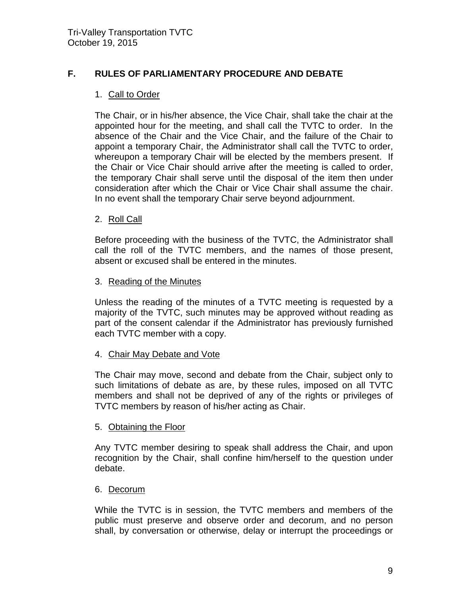# <span id="page-12-1"></span><span id="page-12-0"></span>**F. RULES OF PARLIAMENTARY PROCEDURE AND DEBATE**

#### 1. Call to Order

The Chair, or in his/her absence, the Vice Chair, shall take the chair at the appointed hour for the meeting, and shall call the TVTC to order. In the absence of the Chair and the Vice Chair, and the failure of the Chair to appoint a temporary Chair, the Administrator shall call the TVTC to order, whereupon a temporary Chair will be elected by the members present. If the Chair or Vice Chair should arrive after the meeting is called to order, the temporary Chair shall serve until the disposal of the item then under consideration after which the Chair or Vice Chair shall assume the chair. In no event shall the temporary Chair serve beyond adjournment.

#### <span id="page-12-2"></span>2. Roll Call

Before proceeding with the business of the TVTC, the Administrator shall call the roll of the TVTC members, and the names of those present, absent or excused shall be entered in the minutes.

#### <span id="page-12-3"></span>3. Reading of the Minutes

Unless the reading of the minutes of a TVTC meeting is requested by a majority of the TVTC, such minutes may be approved without reading as part of the consent calendar if the Administrator has previously furnished each TVTC member with a copy.

#### <span id="page-12-4"></span>4. Chair May Debate and Vote

The Chair may move, second and debate from the Chair, subject only to such limitations of debate as are, by these rules, imposed on all TVTC members and shall not be deprived of any of the rights or privileges of TVTC members by reason of his/her acting as Chair.

#### <span id="page-12-5"></span>5. Obtaining the Floor

Any TVTC member desiring to speak shall address the Chair, and upon recognition by the Chair, shall confine him/herself to the question under debate.

#### <span id="page-12-6"></span>6. Decorum

While the TVTC is in session, the TVTC members and members of the public must preserve and observe order and decorum, and no person shall, by conversation or otherwise, delay or interrupt the proceedings or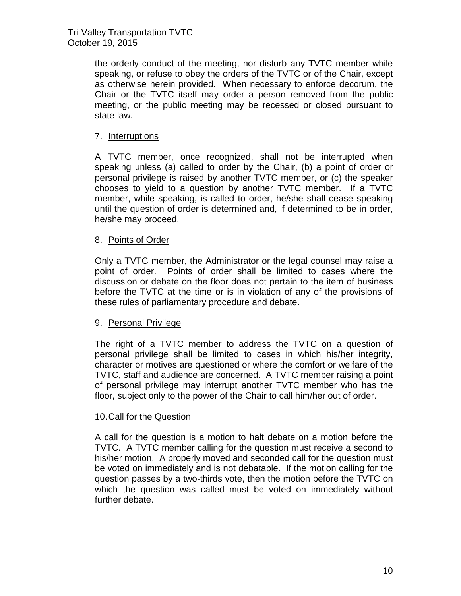Tri-Valley Transportation TVTC October 19, 2015

> the orderly conduct of the meeting, nor disturb any TVTC member while speaking, or refuse to obey the orders of the TVTC or of the Chair, except as otherwise herein provided. When necessary to enforce decorum, the Chair or the TVTC itself may order a person removed from the public meeting, or the public meeting may be recessed or closed pursuant to state law.

# <span id="page-13-0"></span>7. Interruptions

A TVTC member, once recognized, shall not be interrupted when speaking unless (a) called to order by the Chair, (b) a point of order or personal privilege is raised by another TVTC member, or (c) the speaker chooses to yield to a question by another TVTC member. If a TVTC member, while speaking, is called to order, he/she shall cease speaking until the question of order is determined and, if determined to be in order, he/she may proceed.

# <span id="page-13-1"></span>8. Points of Order

Only a TVTC member, the Administrator or the legal counsel may raise a point of order. Points of order shall be limited to cases where the discussion or debate on the floor does not pertain to the item of business before the TVTC at the time or is in violation of any of the provisions of these rules of parliamentary procedure and debate.

#### <span id="page-13-2"></span>9. Personal Privilege

The right of a TVTC member to address the TVTC on a question of personal privilege shall be limited to cases in which his/her integrity, character or motives are questioned or where the comfort or welfare of the TVTC, staff and audience are concerned. A TVTC member raising a point of personal privilege may interrupt another TVTC member who has the floor, subject only to the power of the Chair to call him/her out of order.

#### <span id="page-13-3"></span>10.Call for the Question

A call for the question is a motion to halt debate on a motion before the TVTC. A TVTC member calling for the question must receive a second to his/her motion. A properly moved and seconded call for the question must be voted on immediately and is not debatable. If the motion calling for the question passes by a two-thirds vote, then the motion before the TVTC on which the question was called must be voted on immediately without further debate.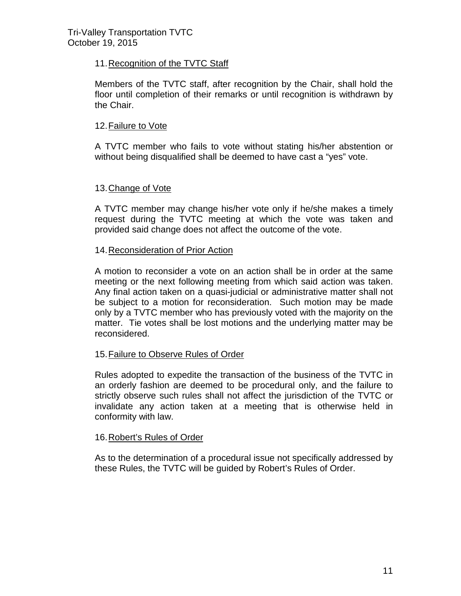# <span id="page-14-0"></span>11.Recognition of the TVTC Staff

Members of the TVTC staff, after recognition by the Chair, shall hold the floor until completion of their remarks or until recognition is withdrawn by the Chair.

# <span id="page-14-1"></span>12.Failure to Vote

A TVTC member who fails to vote without stating his/her abstention or without being disqualified shall be deemed to have cast a "yes" vote.

# <span id="page-14-2"></span>13.Change of Vote

A TVTC member may change his/her vote only if he/she makes a timely request during the TVTC meeting at which the vote was taken and provided said change does not affect the outcome of the vote.

# <span id="page-14-3"></span>14.Reconsideration of Prior Action

A motion to reconsider a vote on an action shall be in order at the same meeting or the next following meeting from which said action was taken. Any final action taken on a quasi-judicial or administrative matter shall not be subject to a motion for reconsideration. Such motion may be made only by a TVTC member who has previously voted with the majority on the matter. Tie votes shall be lost motions and the underlying matter may be reconsidered.

# <span id="page-14-4"></span>15.Failure to Observe Rules of Order

Rules adopted to expedite the transaction of the business of the TVTC in an orderly fashion are deemed to be procedural only, and the failure to strictly observe such rules shall not affect the jurisdiction of the TVTC or invalidate any action taken at a meeting that is otherwise held in conformity with law.

# <span id="page-14-5"></span>16.Robert's Rules of Order

As to the determination of a procedural issue not specifically addressed by these Rules, the TVTC will be guided by Robert's Rules of Order.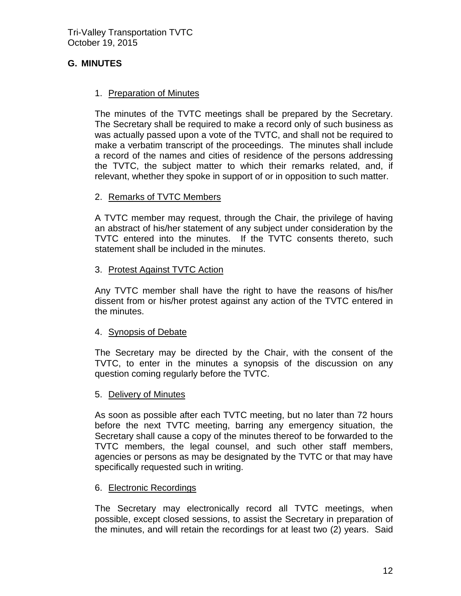# <span id="page-15-0"></span>**G. MINUTES**

# <span id="page-15-1"></span>1. Preparation of Minutes

The minutes of the TVTC meetings shall be prepared by the Secretary. The Secretary shall be required to make a record only of such business as was actually passed upon a vote of the TVTC, and shall not be required to make a verbatim transcript of the proceedings. The minutes shall include a record of the names and cities of residence of the persons addressing the TVTC, the subject matter to which their remarks related, and, if relevant, whether they spoke in support of or in opposition to such matter.

# <span id="page-15-2"></span>2. Remarks of TVTC Members

A TVTC member may request, through the Chair, the privilege of having an abstract of his/her statement of any subject under consideration by the TVTC entered into the minutes. If the TVTC consents thereto, such statement shall be included in the minutes.

#### <span id="page-15-3"></span>3. Protest Against TVTC Action

Any TVTC member shall have the right to have the reasons of his/her dissent from or his/her protest against any action of the TVTC entered in the minutes.

# <span id="page-15-4"></span>4. Synopsis of Debate

The Secretary may be directed by the Chair, with the consent of the TVTC, to enter in the minutes a synopsis of the discussion on any question coming regularly before the TVTC.

# <span id="page-15-5"></span>5. Delivery of Minutes

As soon as possible after each TVTC meeting, but no later than 72 hours before the next TVTC meeting, barring any emergency situation, the Secretary shall cause a copy of the minutes thereof to be forwarded to the TVTC members, the legal counsel, and such other staff members, agencies or persons as may be designated by the TVTC or that may have specifically requested such in writing.

# <span id="page-15-6"></span>6. Electronic Recordings

The Secretary may electronically record all TVTC meetings, when possible, except closed sessions, to assist the Secretary in preparation of the minutes, and will retain the recordings for at least two (2) years. Said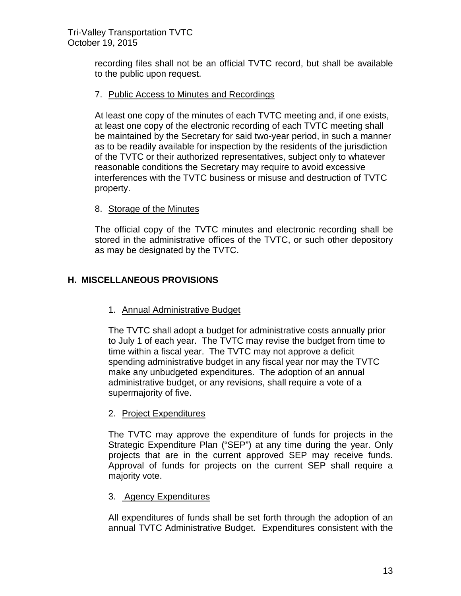recording files shall not be an official TVTC record, but shall be available to the public upon request.

# <span id="page-16-0"></span>7. Public Access to Minutes and Recordings

At least one copy of the minutes of each TVTC meeting and, if one exists, at least one copy of the electronic recording of each TVTC meeting shall be maintained by the Secretary for said two-year period, in such a manner as to be readily available for inspection by the residents of the jurisdiction of the TVTC or their authorized representatives, subject only to whatever reasonable conditions the Secretary may require to avoid excessive interferences with the TVTC business or misuse and destruction of TVTC property.

# <span id="page-16-1"></span>8. Storage of the Minutes

The official copy of the TVTC minutes and electronic recording shall be stored in the administrative offices of the TVTC, or such other depository as may be designated by the TVTC.

# <span id="page-16-3"></span><span id="page-16-2"></span>**H. MISCELLANEOUS PROVISIONS**

# 1. Annual Administrative Budget

The TVTC shall adopt a budget for administrative costs annually prior to July 1 of each year. The TVTC may revise the budget from time to time within a fiscal year. The TVTC may not approve a deficit spending administrative budget in any fiscal year nor may the TVTC make any unbudgeted expenditures. The adoption of an annual administrative budget, or any revisions, shall require a vote of a supermajority of five.

# <span id="page-16-4"></span>2. Project Expenditures

The TVTC may approve the expenditure of funds for projects in the Strategic Expenditure Plan ("SEP") at any time during the year. Only projects that are in the current approved SEP may receive funds. Approval of funds for projects on the current SEP shall require a majority vote.

# <span id="page-16-5"></span>3. Agency Expenditures

All expenditures of funds shall be set forth through the adoption of an annual TVTC Administrative Budget. Expenditures consistent with the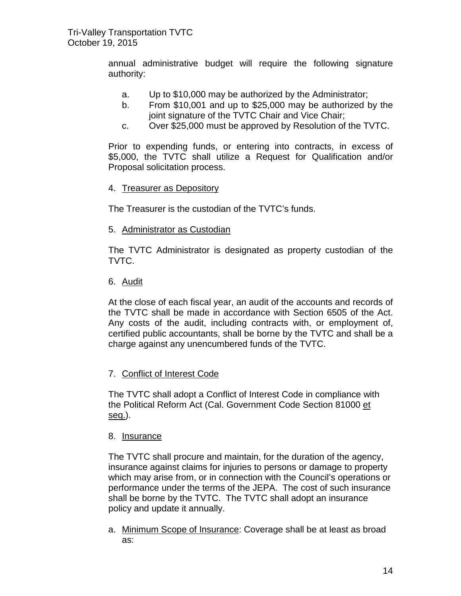annual administrative budget will require the following signature authority:

- a. Up to \$10,000 may be authorized by the Administrator;
- b. From \$10,001 and up to \$25,000 may be authorized by the joint signature of the TVTC Chair and Vice Chair;
- c. Over \$25,000 must be approved by Resolution of the TVTC.

Prior to expending funds, or entering into contracts, in excess of \$5,000, the TVTC shall utilize a Request for Qualification and/or Proposal solicitation process.

# <span id="page-17-0"></span>4. Treasurer as Depository

The Treasurer is the custodian of the TVTC's funds.

<span id="page-17-1"></span>5. Administrator as Custodian

The TVTC Administrator is designated as property custodian of the TVTC.

<span id="page-17-2"></span>6. Audit

At the close of each fiscal year, an audit of the accounts and records of the TVTC shall be made in accordance with Section 6505 of the Act. Any costs of the audit, including contracts with, or employment of, certified public accountants, shall be borne by the TVTC and shall be a charge against any unencumbered funds of the TVTC.

# <span id="page-17-3"></span>7. Conflict of Interest Code

The TVTC shall adopt a Conflict of Interest Code in compliance with the Political Reform Act (Cal. Government Code Section 81000 et seq.).

# <span id="page-17-4"></span>8. Insurance

The TVTC shall procure and maintain, for the duration of the agency, insurance against claims for injuries to persons or damage to property which may arise from, or in connection with the Council's operations or performance under the terms of the JEPA. The cost of such insurance shall be borne by the TVTC. The TVTC shall adopt an insurance policy and update it annually.

a. Minimum Scope of Insurance: Coverage shall be at least as broad as: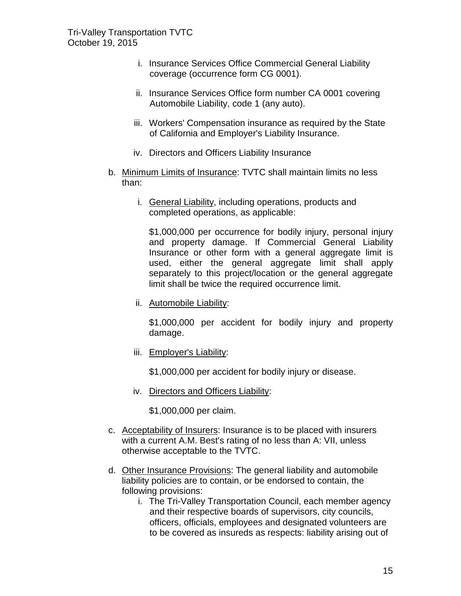- i. Insurance Services Office Commercial General Liability coverage (occurrence form CG 0001).
- ii. Insurance Services Office form number CA 0001 covering Automobile Liability, code 1 (any auto).
- iii. Workers' Compensation insurance as required by the State of California and Employer's Liability Insurance.
- iv. Directors and Officers Liability Insurance
- b. Minimum Limits of Insurance: TVTC shall maintain limits no less than:
	- i. General Liability, including operations, products and completed operations, as applicable:

\$1,000,000 per occurrence for bodily injury, personal injury and property damage. If Commercial General Liability Insurance or other form with a general aggregate limit is used, either the general aggregate limit shall apply separately to this project/location or the general aggregate limit shall be twice the required occurrence limit.

ii. Automobile Liability:

\$1,000,000 per accident for bodily injury and property damage.

iii. Employer's Liability:

\$1,000,000 per accident for bodily injury or disease.

iv. Directors and Officers Liability:

\$1,000,000 per claim.

- c. Acceptability of Insurers: Insurance is to be placed with insurers with a current A.M. Best's rating of no less than A: VII, unless otherwise acceptable to the TVTC.
- d. Other Insurance Provisions: The general liability and automobile liability policies are to contain, or be endorsed to contain, the following provisions:
	- i. The Tri-Valley Transportation Council, each member agency and their respective boards of supervisors, city councils, officers, officials, employees and designated volunteers are to be covered as insureds as respects: liability arising out of